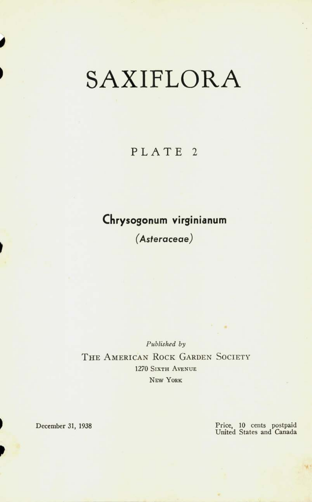## **SAXIFLORA**

## PLATE<sub>2</sub>

## **Chrysogonum virginianum**

*(Asteraceae)* 

*Published by*  THE AMERICAN ROCK GARDEN SOCIETY **1270 SIXTH AVENUE NEW YORK** 

December **31, 1938** 

*P* 

*I* 

Price, **10** cents postpaid United States and Canada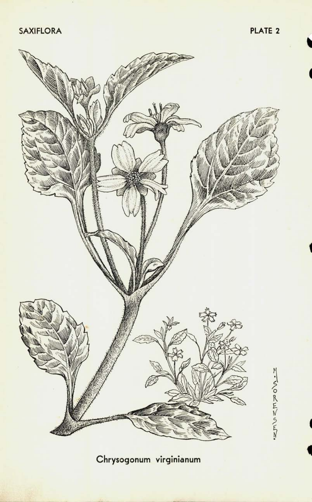**SAXIFLORA** PLATE 2



**Chrysogonum virginianum**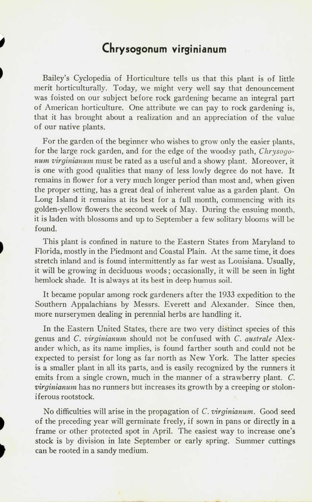## **Chrysogonum virginianum**

Bailey's Cyclopedia of Horticulture tells us that this plant is of little merit horticulturally. Today, we might very well say that denouncement was foisted on our subject before rock gardening became an integral part of American horticulture. One attribute we can pay to rock gardening is, that it has brought about a realization and an appreciation of the value of our native plants.

For the garden of the beginner who wishes to grow only the easier plants, for the large rock garden, and for the edge of the woodsy path, *Chrysogonum virginianum* must be rated as a useful and a showy plant. Moreover, it is one with good qualities that many of less lowly degree do not have. It remains in flower for a very much longer period than most and, when given the proper setting, has a great deal of inherent value as a garden plant. On Long Island it remains at its best for a full month, commencing with its golden-yellow flowers the second week of May. During the ensuing month, it is laden with blossoms and up to September a few solitary blooms will be found.

This plant is confined in nature to the Eastern States from Maryland to Florida, mostly in the Piedmont and Coastal Plain. At the same time, it does stretch inland and is found intermittently as far west as Louisiana. Usually, it will be growing in deciduous woods; occasionally, it will be seen in light hemlock shade. It is always at its best in deep humus soil.

It became popular among rock gardeners after the 1933 expedition to the Southern Appalachians by Messrs. Everett and Alexander. Since then, more nurserymen dealing in perennial herbs are handling it.

In the Eastern United States, there are two very distinct species of this genus and *C. virginianum* should not be confused with *C. australe* Alexander which, as its name implies, is found farther south and could not be expected to persist for long as far north as New York. The latter species is a smaller plant in all its parts, and is easily recognized by the runners it emits from a single crown, much in the manner of a strawberry plant. *C. virginianum* has no runners but increases its growth by a creeping or stoloniferous rootstock.

No difficulties will arise in the propagation of *C. virginianum.* Good seed of the preceding year will germinate freely, if sown in pans or directly in a frame or other protected spot in April. The easiest way to increase one's stock is by division in late September or early spring. Summer cuttings can be rooted in a sandy medium.